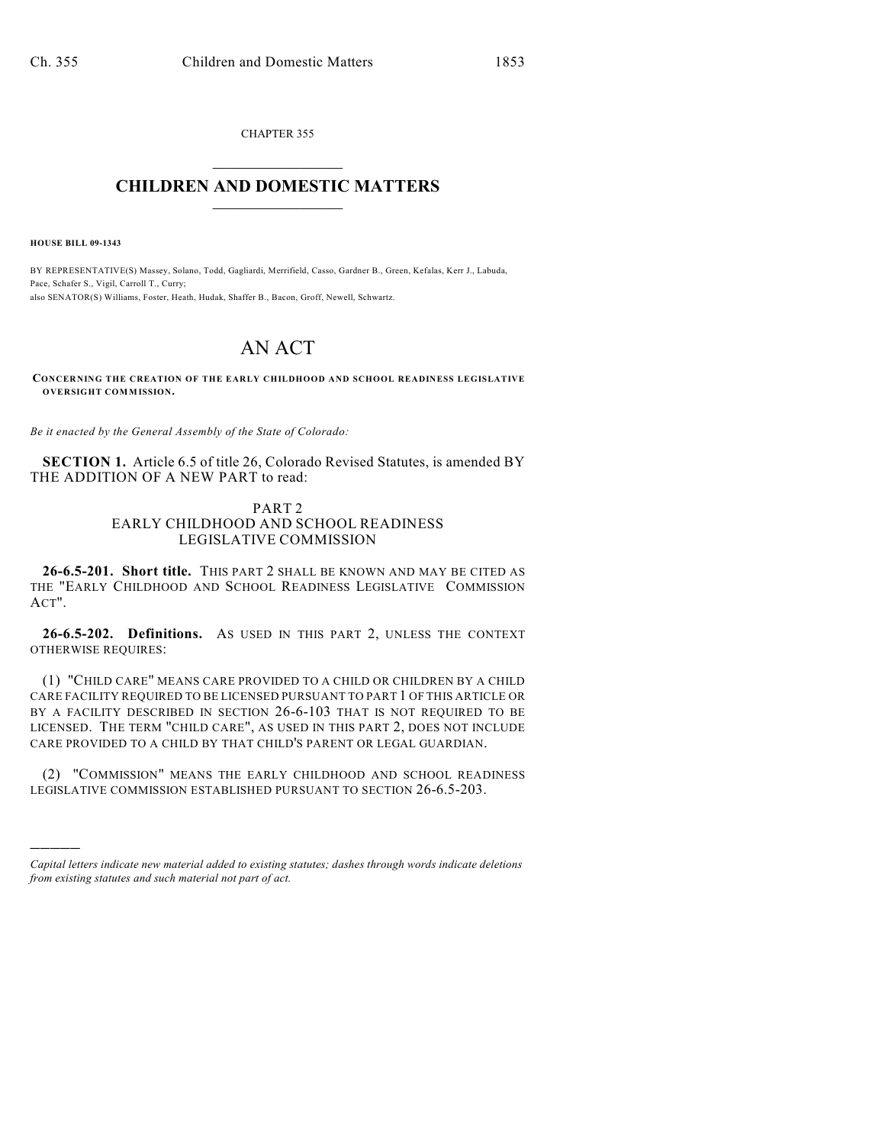CHAPTER 355  $\mathcal{L}_\text{max}$  . The set of the set of the set of the set of the set of the set of the set of the set of the set of the set of the set of the set of the set of the set of the set of the set of the set of the set of the set

## **CHILDREN AND DOMESTIC MATTERS**  $\_$

**HOUSE BILL 09-1343**

)))))

BY REPRESENTATIVE(S) Massey, Solano, Todd, Gagliardi, Merrifield, Casso, Gardner B., Green, Kefalas, Kerr J., Labuda, Pace, Schafer S., Vigil, Carroll T., Curry; also SENATOR(S) Williams, Foster, Heath, Hudak, Shaffer B., Bacon, Groff, Newell, Schwartz.

## AN ACT

**CONCERNING THE CREATION OF THE EARLY CHILDHOOD AND SCHOOL READINESS LEGISLATIVE OVERSIGHT COMMISSION.**

*Be it enacted by the General Assembly of the State of Colorado:*

**SECTION 1.** Article 6.5 of title 26, Colorado Revised Statutes, is amended BY THE ADDITION OF A NEW PART to read:

## PART 2 EARLY CHILDHOOD AND SCHOOL READINESS LEGISLATIVE COMMISSION

**26-6.5-201. Short title.** THIS PART 2 SHALL BE KNOWN AND MAY BE CITED AS THE "EARLY CHILDHOOD AND SCHOOL READINESS LEGISLATIVE COMMISSION ACT".

**26-6.5-202. Definitions.** AS USED IN THIS PART 2, UNLESS THE CONTEXT OTHERWISE REQUIRES:

(1) "CHILD CARE" MEANS CARE PROVIDED TO A CHILD OR CHILDREN BY A CHILD CARE FACILITY REQUIRED TO BE LICENSED PURSUANT TO PART 1 OF THIS ARTICLE OR BY A FACILITY DESCRIBED IN SECTION 26-6-103 THAT IS NOT REQUIRED TO BE LICENSED. THE TERM "CHILD CARE", AS USED IN THIS PART 2, DOES NOT INCLUDE CARE PROVIDED TO A CHILD BY THAT CHILD'S PARENT OR LEGAL GUARDIAN.

(2) "COMMISSION" MEANS THE EARLY CHILDHOOD AND SCHOOL READINESS LEGISLATIVE COMMISSION ESTABLISHED PURSUANT TO SECTION 26-6.5-203.

*Capital letters indicate new material added to existing statutes; dashes through words indicate deletions from existing statutes and such material not part of act.*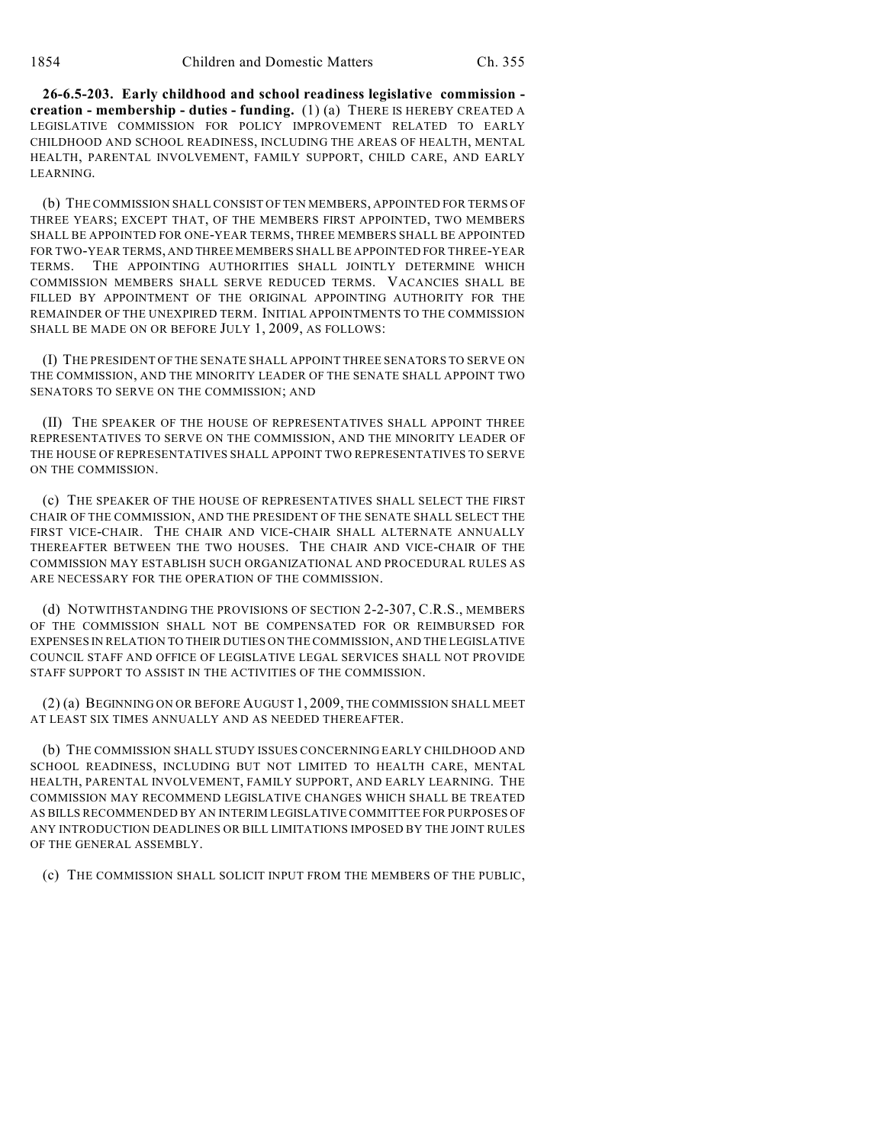**26-6.5-203. Early childhood and school readiness legislative commission creation - membership - duties - funding.** (1) (a) THERE IS HEREBY CREATED A LEGISLATIVE COMMISSION FOR POLICY IMPROVEMENT RELATED TO EARLY CHILDHOOD AND SCHOOL READINESS, INCLUDING THE AREAS OF HEALTH, MENTAL HEALTH, PARENTAL INVOLVEMENT, FAMILY SUPPORT, CHILD CARE, AND EARLY LEARNING.

(b) THE COMMISSION SHALL CONSIST OF TEN MEMBERS, APPOINTED FOR TERMS OF THREE YEARS; EXCEPT THAT, OF THE MEMBERS FIRST APPOINTED, TWO MEMBERS SHALL BE APPOINTED FOR ONE-YEAR TERMS, THREE MEMBERS SHALL BE APPOINTED FOR TWO-YEAR TERMS, AND THREE MEMBERS SHALL BE APPOINTED FOR THREE-YEAR TERMS. THE APPOINTING AUTHORITIES SHALL JOINTLY DETERMINE WHICH COMMISSION MEMBERS SHALL SERVE REDUCED TERMS. VACANCIES SHALL BE FILLED BY APPOINTMENT OF THE ORIGINAL APPOINTING AUTHORITY FOR THE REMAINDER OF THE UNEXPIRED TERM. INITIAL APPOINTMENTS TO THE COMMISSION SHALL BE MADE ON OR BEFORE JULY 1, 2009, AS FOLLOWS:

(I) THE PRESIDENT OF THE SENATE SHALL APPOINT THREE SENATORS TO SERVE ON THE COMMISSION, AND THE MINORITY LEADER OF THE SENATE SHALL APPOINT TWO SENATORS TO SERVE ON THE COMMISSION; AND

(II) THE SPEAKER OF THE HOUSE OF REPRESENTATIVES SHALL APPOINT THREE REPRESENTATIVES TO SERVE ON THE COMMISSION, AND THE MINORITY LEADER OF THE HOUSE OF REPRESENTATIVES SHALL APPOINT TWO REPRESENTATIVES TO SERVE ON THE COMMISSION.

(c) THE SPEAKER OF THE HOUSE OF REPRESENTATIVES SHALL SELECT THE FIRST CHAIR OF THE COMMISSION, AND THE PRESIDENT OF THE SENATE SHALL SELECT THE FIRST VICE-CHAIR. THE CHAIR AND VICE-CHAIR SHALL ALTERNATE ANNUALLY THEREAFTER BETWEEN THE TWO HOUSES. THE CHAIR AND VICE-CHAIR OF THE COMMISSION MAY ESTABLISH SUCH ORGANIZATIONAL AND PROCEDURAL RULES AS ARE NECESSARY FOR THE OPERATION OF THE COMMISSION.

(d) NOTWITHSTANDING THE PROVISIONS OF SECTION 2-2-307, C.R.S., MEMBERS OF THE COMMISSION SHALL NOT BE COMPENSATED FOR OR REIMBURSED FOR EXPENSES IN RELATION TO THEIR DUTIES ON THE COMMISSION, AND THE LEGISLATIVE COUNCIL STAFF AND OFFICE OF LEGISLATIVE LEGAL SERVICES SHALL NOT PROVIDE STAFF SUPPORT TO ASSIST IN THE ACTIVITIES OF THE COMMISSION.

(2) (a) BEGINNING ON OR BEFORE AUGUST 1, 2009, THE COMMISSION SHALL MEET AT LEAST SIX TIMES ANNUALLY AND AS NEEDED THEREAFTER.

(b) THE COMMISSION SHALL STUDY ISSUES CONCERNING EARLY CHILDHOOD AND SCHOOL READINESS, INCLUDING BUT NOT LIMITED TO HEALTH CARE, MENTAL HEALTH, PARENTAL INVOLVEMENT, FAMILY SUPPORT, AND EARLY LEARNING. THE COMMISSION MAY RECOMMEND LEGISLATIVE CHANGES WHICH SHALL BE TREATED AS BILLS RECOMMENDED BY AN INTERIM LEGISLATIVE COMMITTEE FOR PURPOSES OF ANY INTRODUCTION DEADLINES OR BILL LIMITATIONS IMPOSED BY THE JOINT RULES OF THE GENERAL ASSEMBLY.

(c) THE COMMISSION SHALL SOLICIT INPUT FROM THE MEMBERS OF THE PUBLIC,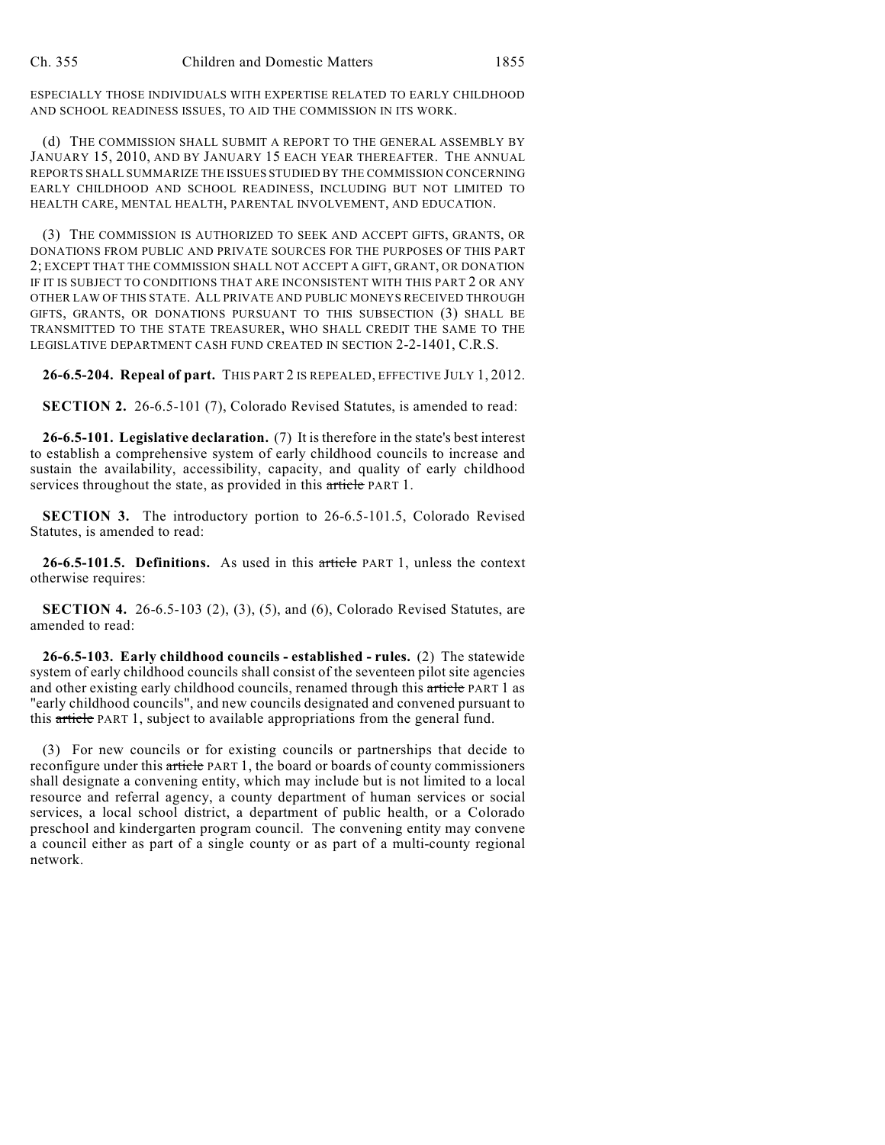ESPECIALLY THOSE INDIVIDUALS WITH EXPERTISE RELATED TO EARLY CHILDHOOD AND SCHOOL READINESS ISSUES, TO AID THE COMMISSION IN ITS WORK.

(d) THE COMMISSION SHALL SUBMIT A REPORT TO THE GENERAL ASSEMBLY BY JANUARY 15, 2010, AND BY JANUARY 15 EACH YEAR THEREAFTER. THE ANNUAL REPORTS SHALL SUMMARIZE THE ISSUES STUDIED BY THE COMMISSION CONCERNING EARLY CHILDHOOD AND SCHOOL READINESS, INCLUDING BUT NOT LIMITED TO HEALTH CARE, MENTAL HEALTH, PARENTAL INVOLVEMENT, AND EDUCATION.

(3) THE COMMISSION IS AUTHORIZED TO SEEK AND ACCEPT GIFTS, GRANTS, OR DONATIONS FROM PUBLIC AND PRIVATE SOURCES FOR THE PURPOSES OF THIS PART 2; EXCEPT THAT THE COMMISSION SHALL NOT ACCEPT A GIFT, GRANT, OR DONATION IF IT IS SUBJECT TO CONDITIONS THAT ARE INCONSISTENT WITH THIS PART 2 OR ANY OTHER LAW OF THIS STATE. ALL PRIVATE AND PUBLIC MONEYS RECEIVED THROUGH GIFTS, GRANTS, OR DONATIONS PURSUANT TO THIS SUBSECTION (3) SHALL BE TRANSMITTED TO THE STATE TREASURER, WHO SHALL CREDIT THE SAME TO THE LEGISLATIVE DEPARTMENT CASH FUND CREATED IN SECTION 2-2-1401, C.R.S.

**26-6.5-204. Repeal of part.** THIS PART 2 IS REPEALED, EFFECTIVE JULY 1, 2012.

**SECTION 2.** 26-6.5-101 (7), Colorado Revised Statutes, is amended to read:

**26-6.5-101. Legislative declaration.** (7) It is therefore in the state's best interest to establish a comprehensive system of early childhood councils to increase and sustain the availability, accessibility, capacity, and quality of early childhood services throughout the state, as provided in this article PART 1.

**SECTION 3.** The introductory portion to 26-6.5-101.5, Colorado Revised Statutes, is amended to read:

**26-6.5-101.5. Definitions.** As used in this article PART 1, unless the context otherwise requires:

**SECTION 4.** 26-6.5-103 (2), (3), (5), and (6), Colorado Revised Statutes, are amended to read:

**26-6.5-103. Early childhood councils - established - rules.** (2) The statewide system of early childhood councils shall consist of the seventeen pilot site agencies and other existing early childhood councils, renamed through this article PART 1 as "early childhood councils", and new councils designated and convened pursuant to this article PART 1, subject to available appropriations from the general fund.

(3) For new councils or for existing councils or partnerships that decide to reconfigure under this article PART 1, the board or boards of county commissioners shall designate a convening entity, which may include but is not limited to a local resource and referral agency, a county department of human services or social services, a local school district, a department of public health, or a Colorado preschool and kindergarten program council. The convening entity may convene a council either as part of a single county or as part of a multi-county regional network.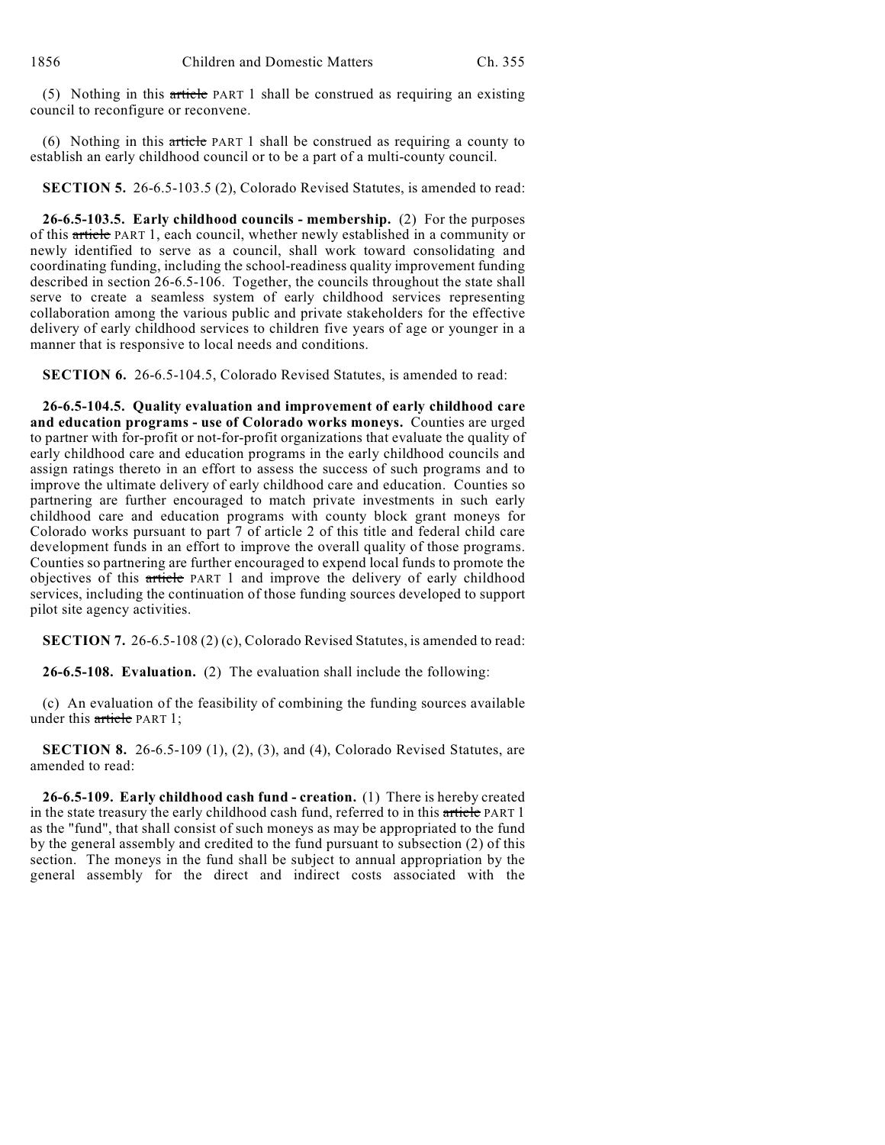(5) Nothing in this article PART 1 shall be construed as requiring an existing council to reconfigure or reconvene.

(6) Nothing in this article PART 1 shall be construed as requiring a county to establish an early childhood council or to be a part of a multi-county council.

**SECTION 5.** 26-6.5-103.5 (2), Colorado Revised Statutes, is amended to read:

**26-6.5-103.5. Early childhood councils - membership.** (2) For the purposes of this article PART 1, each council, whether newly established in a community or newly identified to serve as a council, shall work toward consolidating and coordinating funding, including the school-readiness quality improvement funding described in section 26-6.5-106. Together, the councils throughout the state shall serve to create a seamless system of early childhood services representing collaboration among the various public and private stakeholders for the effective delivery of early childhood services to children five years of age or younger in a manner that is responsive to local needs and conditions.

**SECTION 6.** 26-6.5-104.5, Colorado Revised Statutes, is amended to read:

**26-6.5-104.5. Quality evaluation and improvement of early childhood care and education programs - use of Colorado works moneys.** Counties are urged to partner with for-profit or not-for-profit organizations that evaluate the quality of early childhood care and education programs in the early childhood councils and assign ratings thereto in an effort to assess the success of such programs and to improve the ultimate delivery of early childhood care and education. Counties so partnering are further encouraged to match private investments in such early childhood care and education programs with county block grant moneys for Colorado works pursuant to part 7 of article 2 of this title and federal child care development funds in an effort to improve the overall quality of those programs. Counties so partnering are further encouraged to expend local funds to promote the objectives of this article PART 1 and improve the delivery of early childhood services, including the continuation of those funding sources developed to support pilot site agency activities.

**SECTION 7.** 26-6.5-108 (2) (c), Colorado Revised Statutes, is amended to read:

**26-6.5-108. Evaluation.** (2) The evaluation shall include the following:

(c) An evaluation of the feasibility of combining the funding sources available under this article PART 1;

**SECTION 8.** 26-6.5-109 (1), (2), (3), and (4), Colorado Revised Statutes, are amended to read:

**26-6.5-109. Early childhood cash fund - creation.** (1) There is hereby created in the state treasury the early childhood cash fund, referred to in this article PART 1 as the "fund", that shall consist of such moneys as may be appropriated to the fund by the general assembly and credited to the fund pursuant to subsection (2) of this section. The moneys in the fund shall be subject to annual appropriation by the general assembly for the direct and indirect costs associated with the